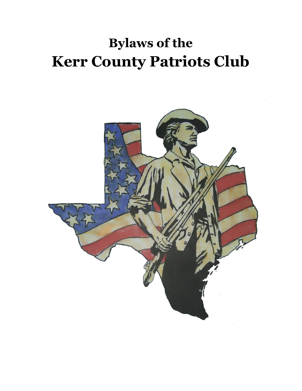# **Bylaws of the Kerr County Patriots Club**

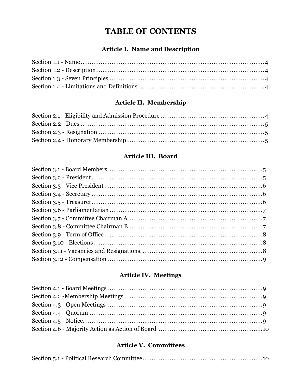# **TABLE OF CONTENTS**

### **Article I. Name and Description**

## Article II. Membership

## Article III. Board

# Article IV. Meetings

## **Article V. Committees**

|--|--|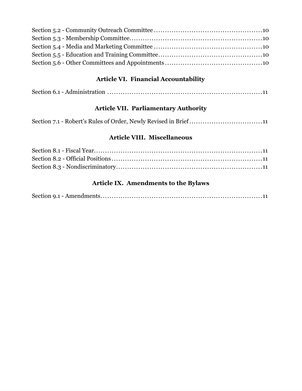## **Article VI. Financial Accountability**

|--|--|--|

## **Article VII. Parliamentary Authority**

## **Article VIII. Miscellaneous**

## **Article IX. Amendments to the Bylaws**

|--|--|--|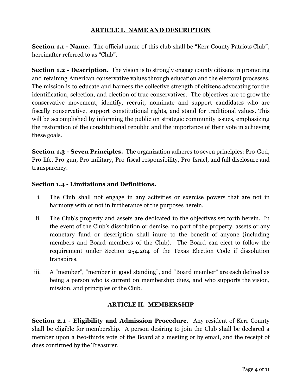#### **ARTICLE I. NAME AND DESCRIPTION**

**Section 1.1 - Name.** The official name of this club shall be "Kerr County Patriots Club", hereinafter referred to as "Club".

**Section 1.2 - Description.** The vision is to strongly engage county citizens in promoting and retaining American conservative values through education and the electoral processes. The mission is to educate and harness the collective strength of citizens advocating for the identification, selection, and election of true conservatives. The objectives are to grow the conservative movement, identify, recruit, nominate and support candidates who are fiscally conservative, support constitutional rights, and stand for traditional values. This will be accomplished by informing the public on strategic community issues, emphasizing the restoration of the constitutional republic and the importance of their vote in achieving these goals.

**Section 1.3 - Seven Principles.** The organization adheres to seven principles: Pro-God, Pro-life, Pro-gun, Pro-military, Pro-fiscal responsibility, Pro-Israel, and full disclosure and transparency.

#### **Section 1.4 - Limitations and Definitions.**

- i. The Club shall not engage in any activities or exercise powers that are not in harmony with or not in furtherance of the purposes herein.
- ii. The Club's property and assets are dedicated to the objectives set forth herein. In the event of the Club's dissolution or demise, no part of the property, assets or any monetary fund or description shall inure to the benefit of anyone (including members and Board members of the Club). The Board can elect to follow the requirement under Section 254.204 of the Texas Election Code if dissolution transpires.
- iii. A "member", "member in good standing", and "Board member" are each defined as being a person who is current on membership dues, and who supports the vision, mission, and principles of the Club.

#### **ARTICLE II. MEMBERSHIP**

**Section 2.1 - Eligibility and Admission Procedure.** Any resident of Kerr County shall be eligible for membership. A person desiring to join the Club shall be declared a member upon a two-thirds vote of the Board at a meeting or by email, and the receipt of dues confirmed by the Treasurer.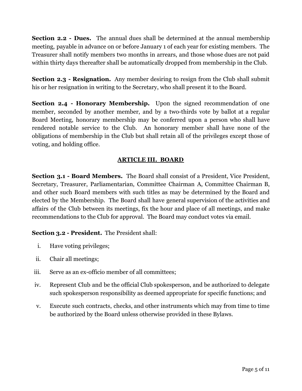**Section 2.2 - Dues.** The annual dues shall be determined at the annual membership meeting, payable in advance on or before January 1 of each year for existing members. The Treasurer shall notify members two months in arrears, and those whose dues are not paid within thirty days thereafter shall be automatically dropped from membership in the Club.

**Section 2.3 - Resignation.** Any member desiring to resign from the Club shall submit his or her resignation in writing to the Secretary, who shall present it to the Board.

**Section 2.4 - Honorary Membership.** Upon the signed recommendation of one member, seconded by another member, and by a two-thirds vote by ballot at a regular Board Meeting, honorary membership may be conferred upon a person who shall have rendered notable service to the Club. An honorary member shall have none of the obligations of membership in the Club but shall retain all of the privileges except those of voting, and holding office.

#### **ARTICLE III. BOARD**

**Section 3.1 - Board Members.** The Board shall consist of a President, Vice President, Secretary, Treasurer, Parliamentarian, Committee Chairman A, Committee Chairman B, and other such Board members with such titles as may be determined by the Board and elected by the Membership. The Board shall have general supervision of the activities and affairs of the Club between its meetings, fix the hour and place of all meetings, and make recommendations to the Club for approval. The Board may conduct votes via email.

**Section 3.2 - President.** The President shall:

- i. Have voting privileges;
- ii. Chair all meetings;
- iii. Serve as an ex-officio member of all committees;
- iv. Represent Club and be the official Club spokesperson, and be authorized to delegate such spokesperson responsibility as deemed appropriate for specific functions; and
- v. Execute such contracts, checks, and other instruments which may from time to time be authorized by the Board unless otherwise provided in these Bylaws.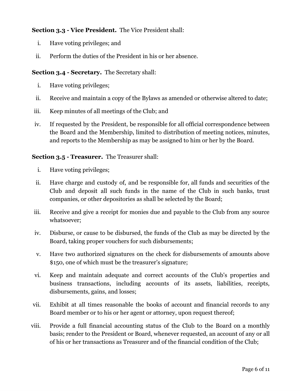#### **Section 3.3 - Vice President.** The Vice President shall:

- i. Have voting privileges; and
- ii. Perform the duties of the President in his or her absence.

#### **Section 3.4 - Secretary.** The Secretary shall:

- i. Have voting privileges;
- ii. Receive and maintain a copy of the Bylaws as amended or otherwise altered to date;
- iii. Keep minutes of all meetings of the Club; and
- iv. If requested by the President, be responsible for all official correspondence between the Board and the Membership, limited to distribution of meeting notices, minutes, and reports to the Membership as may be assigned to him or her by the Board.

#### **Section 3.5 - Treasurer.** The Treasurer shall:

- i. Have voting privileges;
- ii. Have charge and custody of, and be responsible for, all funds and securities of the Club and deposit all such funds in the name of the Club in such banks, trust companies, or other depositories as shall be selected by the Board;
- iii. Receive and give a receipt for monies due and payable to the Club from any source whatsoever;
- iv. Disburse, or cause to be disbursed, the funds of the Club as may be directed by the Board, taking proper vouchers for such disbursements;
- v. Have two authorized signatures on the check for disbursements of amounts above \$150, one of which must be the treasurer's signature;
- vi. Keep and maintain adequate and correct accounts of the Club's properties and business transactions, including accounts of its assets, liabilities, receipts, disbursements, gains, and losses;
- vii. Exhibit at all times reasonable the books of account and financial records to any Board member or to his or her agent or attorney, upon request thereof;
- viii. Provide a full financial accounting status of the Club to the Board on a monthly basis; render to the President or Board, whenever requested, an account of any or all of his or her transactions as Treasurer and of the financial condition of the Club;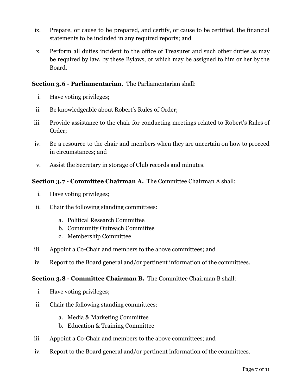- ix. Prepare, or cause to be prepared, and certify, or cause to be certified, the financial statements to be included in any required reports; and
- x. Perform all duties incident to the office of Treasurer and such other duties as may be required by law, by these Bylaws, or which may be assigned to him or her by the Board.

#### **Section 3.6 - Parliamentarian.** The Parliamentarian shall:

- i. Have voting privileges;
- ii. Be knowledgeable about Robert's Rules of Order;
- iii. Provide assistance to the chair for conducting meetings related to Robert's Rules of Order;
- iv. Be a resource to the chair and members when they are uncertain on how to proceed in circumstances; and
- v. Assist the Secretary in storage of Club records and minutes.

#### **Section 3.7 - Committee Chairman A.** The Committee Chairman A shall:

- i. Have voting privileges;
- ii. Chair the following standing committees:
	- a. Political Research Committee
	- b. Community Outreach Committee
	- c. Membership Committee
- iii. Appoint a Co-Chair and members to the above committees; and
- iv. Report to the Board general and/or pertinent information of the committees.

#### **Section 3.8 - Committee Chairman B.** The Committee Chairman B shall:

- i. Have voting privileges;
- ii. Chair the following standing committees:
	- a. Media & Marketing Committee
	- b. Education & Training Committee
- iii. Appoint a Co-Chair and members to the above committees; and
- iv. Report to the Board general and/or pertinent information of the committees.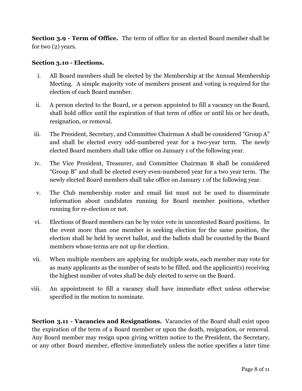**Section 3.9 - Term of Office.** The term of office for an elected Board member shall be for two (2) years.

#### **Section 3.10 - Elections.**

- i. All Board members shall be elected by the Membership at the Annual Membership Meeting. A simple majority vote of members present and voting is required for the election of each Board member.
- ii. A person elected to the Board, or a person appointed to fill a vacancy on the Board, shall hold office until the expiration of that term of office or until his or her death, resignation, or removal.
- iii. The President, Secretary, and Committee Chairman A shall be considered "Group A" and shall be elected every odd-numbered year for a two-year term. The newly elected Board members shall take office on January 1 of the following year.
- iv. The Vice President, Treasurer, and Committee Chairman B shall be considered "Group B" and shall be elected every even-numbered year for a two year term. The newly elected Board members shall take office on January 1 of the following year.
- v. The Club membership roster and email list must not be used to disseminate information about candidates running for Board member positions, whether running for re-election or not.
- vi. Elections of Board members can be by voice vote in uncontested Board positions. In the event more than one member is seeking election for the same position, the election shall be held by secret ballot, and the ballots shall be counted by the Board members whose terms are not up for election.
- vii. When multiple members are applying for multiple seats, each member may vote for as many applicants as the number of seats to be filled, and the applicant(s) receiving the highest number of votes shall be duly elected to serve on the Board.
- viii. An appointment to fill a vacancy shall have immediate effect unless otherwise specified in the motion to nominate.

**Section 3.11 - Vacancies and Resignations.** Vacancies of the Board shall exist upon the expiration of the term of a Board member or upon the death, resignation, or removal. Any Board member may resign upon giving written notice to the President, the Secretary, or any other Board member, effective immediately unless the notice specifies a later time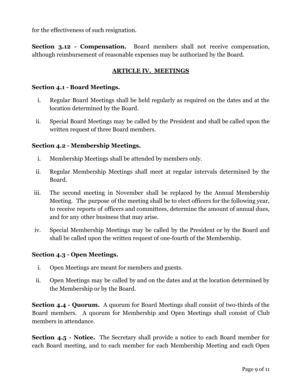for the effectiveness of such resignation.

**Section 3.12 - Compensation.** Board members shall not receive compensation, although reimbursement of reasonable expenses may be authorized by the Board.

#### **ARTICLE IV. MEETINGS**

#### **Section 4.1 - Board Meetings.**

- i. Regular Board Meetings shall be held regularly as required on the dates and at the location determined by the Board.
- ii. Special Board Meetings may be called by the President and shall be called upon the written request of three Board members.

#### **Section 4.2 - Membership Meetings.**

- i. Membership Meetings shall be attended by members only.
- ii. Regular Membership Meetings shall meet at regular intervals determined by the Board.
- iii. The second meeting in November shall be replaced by the Annual Membership Meeting. The purpose of the meeting shall be to elect officers for the following year, to receive reports of officers and committees, determine the amount of annual dues, and for any other business that may arise.
- iv. Special Membership Meetings may be called by the President or by the Board and shall be called upon the written request of one-fourth of the Membership.

#### **Section 4.3 - Open Meetings.**

- i. Open Meetings are meant for members and guests.
- ii. Open Meetings may be called by and on the dates and at the location determined by the Membership or by the Board.

**Section 4.4 - Quorum.** A quorum for Board Meetings shall consist of two-thirds of the Board members. A quorum for Membership and Open Meetings shall consist of Club members in attendance.

**Section 4.5 - Notice.** The Secretary shall provide a notice to each Board member for each Board meeting, and to each member for each Membership Meeting and each Open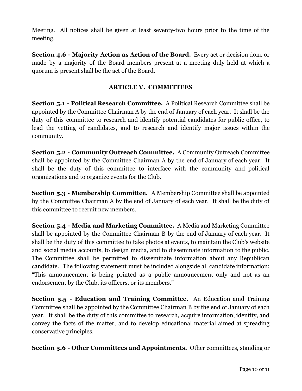Meeting. All notices shall be given at least seventy-two hours prior to the time of the meeting.

**Section 4.6 - Majority Action as Action of the Board.** Every act or decision done or made by a majority of the Board members present at a meeting duly held at which a quorum is present shall be the act of the Board.

#### **ARTICLE V. COMMITTEES**

**Section 5.1 - Political Research Committee.** A Political Research Committee shall be appointed by the Committee Chairman A by the end of January of each year. It shall be the duty of this committee to research and identify potential candidates for public office, to lead the vetting of candidates, and to research and identify major issues within the community.

**Section 5.2 - Community Outreach Committee.** A Community Outreach Committee shall be appointed by the Committee Chairman A by the end of January of each year. It shall be the duty of this committee to interface with the community and political organizations and to organize events for the Club.

**Section 5.3 - Membership Committee.** A Membership Committee shall be appointed by the Committee Chairman A by the end of January of each year. It shall be the duty of this committee to recruit new members.

**Section 5.4 - Media and Marketing Committee.** A Media and Marketing Committee shall be appointed by the Committee Chairman B by the end of January of each year. It shall be the duty of this committee to take photos at events, to maintain the Club's website and social media accounts, to design media, and to disseminate information to the public. The Committee shall be permitted to disseminate information about any Republican candidate. The following statement must be included alongside all candidate information: "This announcement is being printed as a public announcement only and not as an endorsement by the Club, its officers, or its members."

**Section 5.5 - Education and Training Committee.** An Education amd Training Committee shall be appointed by the Committee Chairman B by the end of January of each year. It shall be the duty of this committee to research, acquire information, identity, and convey the facts of the matter, and to develop educational material aimed at spreading conservative principles.

**Section 5.6 - Other Committees and Appointments.** Other committees, standing or